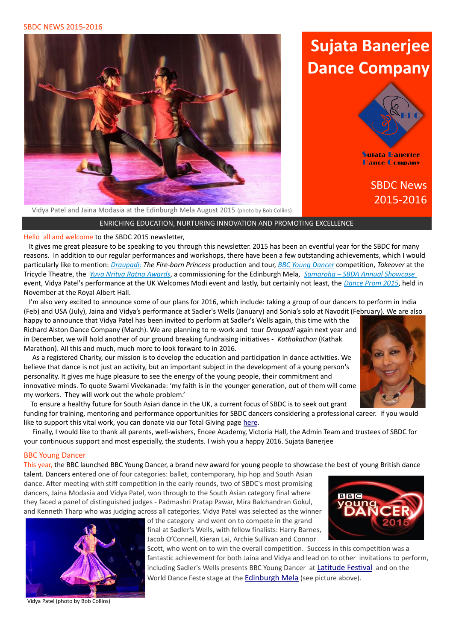SBDC NEWS 2015-2016



# **Sujata Banerjee Dance Company**



**Sujata Banerjee Dance Company** 

# SBDC News 2015-2016

Vidya Patel and Jaina Modasia at the Edinburgh Mela August 2015 (photo by Bob Collins)

ENRICHING EDUCATION, NURTURING INNOVATION AND PROMOTING EXCELLENCE

Hello all and welcome to the SBDC 2015 newsletter,

 It gives me great pleasure to be speaking to you through this newsletter. 2015 has been an eventful year for the SBDC for many reasons. In addition to our regular performances and workshops, there have been a few outstanding achievements, which I would particularly like to mention: *[Draupadi :](#page-1-0) The Fire-born Princess* production and tour, *[BBC Young Dancer](#page-0-2)* competition, *Takeover* at the Tricycle Theatre, the *[Yuva Nritya Ratna Awards](#page-1-3)*, a commissioning for the Edinburgh Mela, *[Samaroha – SBDA Annual Showcase](#page-1-2)* event, Vidya Patel's performance at the UK Welcomes Modi event and lastly, but certainly not least, the *[Dance Prom 2015](#page-1-1)*, held in November at the Royal Albert Hall.

 I'm also very excited to announce some of our plans for 2016, which include: taking a group of our dancers to perform in India (Feb) and USA (July), Jaina and Vidya's performance at Sadler's Wells (January) and Sonia's solo at Navodit (February). We are also

happy to announce that Vidya Patel has been invited to perform at Sadler's Wells again, this time with the Richard Alston Dance Company (March). We are planning to re-work and tour *Draupadi* again next year and in December, we will hold another of our ground breaking fundraising initiatives - *Kathakathon* (Kathak Marathon). All this and much, much more to look forward to in 2016.

 As a registered Charity, our mission is to develop the education and participation in dance activities. We believe that dance is not just an activity, but an important subject in the development of a young person's personality. It gives me huge pleasure to see the energy of the young people, their commitment and innovative minds. To quote Swami Vivekanada: 'my faith is in the younger generation, out of them will come my workers. They will work out the whole problem.'

 To ensure a healthy future for South Asian dance in the UK, a current focus of SBDC is to seek out grant funding for training, mentoring and performance opportunities for SBDC dancers considering a professional career. If you would like to support this vital work, you can donate via our Total Giving page [here.](http://www.totalgiving.co.uk/charity/sujata-banerjee-dance-company-limited)

 Finally, I would like to thank all parents, well-wishers, Encee Academy, Victoria Hall, the Admin Team and trustees of SBDC for your continuous support and most especially, the students. I wish you a happy 2016. Sujata Banerjee

## <span id="page-0-2"></span>BBC Young Dancer

This year, the BBC launched BBC Young Dancer, a brand new award for young people to showcase the best of young British dance

talent. Dancers entered one of four categories: ballet, contemporary, hip hop and South Asian dance. After meeting with stiff competition in the early rounds, two of SBDC's most promising dancers, Jaina Modasia and Vidya Patel, won through to the South Asian category final where they faced a panel of distinguished judges - Padmashri Pratap Pawar, Mira Balchandran Gokul, and Kenneth Tharp who was judging across all categories. Vidya Patel was selected as the winner



of the category and went on to compete in the grand final at Sadler's Wells, with fellow finalists: Harry Barnes, Jacob O'Connell, Kieran Lai, Archie Sullivan and Connor

<span id="page-0-1"></span><span id="page-0-0"></span>Scott, who went on to win the overall competition. Success in this competition was a fantastic achievement for both Jaina and Vidya and lead on to other invitations to perform, including Sadler's Wells presents BBC Young Dancer at [Latitude Festival](#page-0-1) and on the World Dance Feste stage at the **[Edinburgh Mela](#page-0-0)** (see picture above).



Vidya Patel (photo by Bob Collins)